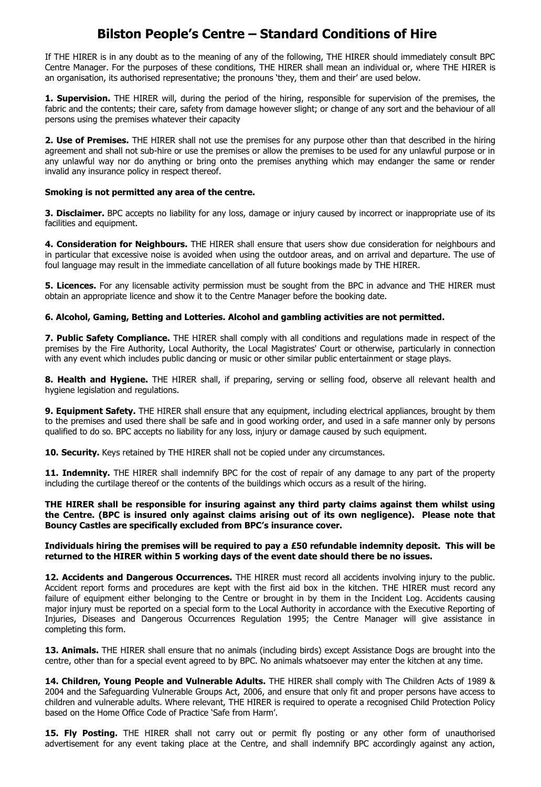## **Bilston People's Centre – Standard Conditions of Hire**

If THE HIRER is in any doubt as to the meaning of any of the following, THE HIRER should immediately consult BPC Centre Manager. For the purposes of these conditions, THE HIRER shall mean an individual or, where THE HIRER is an organisation, its authorised representative; the pronouns 'they, them and their' are used below.

**1. Supervision.** THE HIRER will, during the period of the hiring, responsible for supervision of the premises, the fabric and the contents; their care, safety from damage however slight; or change of any sort and the behaviour of all persons using the premises whatever their capacity

**2. Use of Premises.** THE HIRER shall not use the premises for any purpose other than that described in the hiring agreement and shall not sub-hire or use the premises or allow the premises to be used for any unlawful purpose or in any unlawful way nor do anything or bring onto the premises anything which may endanger the same or render invalid any insurance policy in respect thereof.

## **Smoking is not permitted any area of the centre.**

**3. Disclaimer.** BPC accepts no liability for any loss, damage or injury caused by incorrect or inappropriate use of its facilities and equipment.

**4. Consideration for Neighbours.** THE HIRER shall ensure that users show due consideration for neighbours and in particular that excessive noise is avoided when using the outdoor areas, and on arrival and departure. The use of foul language may result in the immediate cancellation of all future bookings made by THE HIRER.

**5. Licences.** For any licensable activity permission must be sought from the BPC in advance and THE HIRER must obtain an appropriate licence and show it to the Centre Manager before the booking date.

## **6. Alcohol, Gaming, Betting and Lotteries. Alcohol and gambling activities are not permitted.**

**7. Public Safety Compliance.** THE HIRER shall comply with all conditions and regulations made in respect of the premises by the Fire Authority, Local Authority, the Local Magistrates' Court or otherwise, particularly in connection with any event which includes public dancing or music or other similar public entertainment or stage plays.

**8. Health and Hygiene.** THE HIRER shall, if preparing, serving or selling food, observe all relevant health and hygiene legislation and regulations.

**9. Equipment Safety.** THE HIRER shall ensure that any equipment, including electrical appliances, brought by them to the premises and used there shall be safe and in good working order, and used in a safe manner only by persons qualified to do so. BPC accepts no liability for any loss, injury or damage caused by such equipment.

10. Security. Keys retained by THE HIRER shall not be copied under any circumstances.

**11. Indemnity.** THE HIRER shall indemnify BPC for the cost of repair of any damage to any part of the property including the curtilage thereof or the contents of the buildings which occurs as a result of the hiring.

**THE HIRER shall be responsible for insuring against any third party claims against them whilst using the Centre. (BPC is insured only against claims arising out of its own negligence). Please note that Bouncy Castles are specifically excluded from BPC's insurance cover.** 

**Individuals hiring the premises will be required to pay a £50 refundable indemnity deposit. This will be returned to the HIRER within 5 working days of the event date should there be no issues.**

**12. Accidents and Dangerous Occurrences.** THE HIRER must record all accidents involving injury to the public. Accident report forms and procedures are kept with the first aid box in the kitchen. THE HIRER must record any failure of equipment either belonging to the Centre or brought in by them in the Incident Log. Accidents causing major injury must be reported on a special form to the Local Authority in accordance with the Executive Reporting of Injuries, Diseases and Dangerous Occurrences Regulation 1995; the Centre Manager will give assistance in completing this form.

**13. Animals.** THE HIRER shall ensure that no animals (including birds) except Assistance Dogs are brought into the centre, other than for a special event agreed to by BPC. No animals whatsoever may enter the kitchen at any time.

**14. Children, Young People and Vulnerable Adults.** THE HIRER shall comply with The Children Acts of 1989 & 2004 and the Safeguarding Vulnerable Groups Act, 2006, and ensure that only fit and proper persons have access to children and vulnerable adults. Where relevant, THE HIRER is required to operate a recognised Child Protection Policy based on the Home Office Code of Practice 'Safe from Harm'.

**15. Fly Posting.** THE HIRER shall not carry out or permit fly posting or any other form of unauthorised advertisement for any event taking place at the Centre, and shall indemnify BPC accordingly against any action,